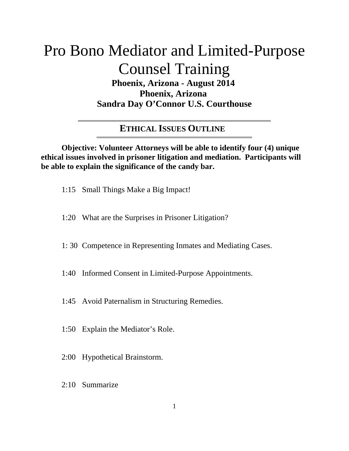# Pro Bono Mediator and Limited-Purpose Counsel Training **Phoenix, Arizona - August 2014 Phoenix, Arizona Sandra Day O'Connor U.S. Courthouse**

# **ETHICAL ISSUES OUTLINE**

**Objective: Volunteer Attorneys will be able to identify four (4) unique ethical issues involved in prisoner litigation and mediation. Participants will be able to explain the significance of the candy bar.** 

1:15 Small Things Make a Big Impact!

- 1:20 What are the Surprises in Prisoner Litigation?
- 1: 30 Competence in Representing Inmates and Mediating Cases.
- 1:40 Informed Consent in Limited-Purpose Appointments.
- 1:45 Avoid Paternalism in Structuring Remedies.
- 1:50 Explain the Mediator's Role.
- 2:00 Hypothetical Brainstorm.
- 2:10 Summarize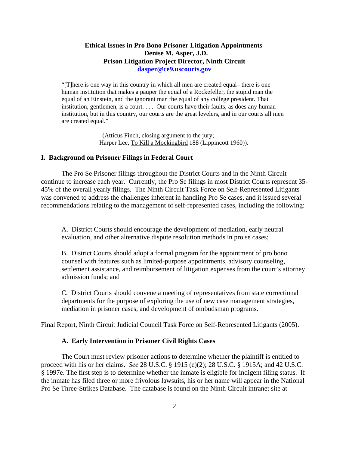# **Ethical Issues in Pro Bono Prisoner Litigation Appointments Denise M. Asper, J.D. Prison Litigation Project Director, Ninth Circuit dasper@ce9.uscourts.gov**

"[T]here is one way in this country in which all men are created equal– there is one human institution that makes a pauper the equal of a Rockefeller, the stupid man the equal of an Einstein, and the ignorant man the equal of any college president. That institution, gentlemen, is a court. . . . Our courts have their faults, as does any human institution, but in this country, our courts are the great levelers, and in our courts all men are created equal."

> (Atticus Finch, closing argument to the jury; Harper Lee, To Kill a Mockingbird 188 (Lippincott 1960)).

#### **I. Background on Prisoner Filings in Federal Court**

The Pro Se Prisoner filings throughout the District Courts and in the Ninth Circuit continue to increase each year. Currently, the Pro Se filings in most District Courts represent 35- 45% of the overall yearly filings. The Ninth Circuit Task Force on Self-Represented Litigants was convened to address the challenges inherent in handling Pro Se cases, and it issued several recommendations relating to the management of self-represented cases, including the following:

A. District Courts should encourage the development of mediation, early neutral evaluation, and other alternative dispute resolution methods in pro se cases;

 B. District Courts should adopt a formal program for the appointment of pro bono counsel with features such as limited-purpose appointments, advisory counseling, settlement assistance, and reimbursement of litigation expenses from the court's attorney admission funds; and

C. District Courts should convene a meeting of representatives from state correctional departments for the purpose of exploring the use of new case management strategies, mediation in prisoner cases, and development of ombudsman programs.

Final Report, Ninth Circuit Judicial Council Task Force on Self-Represented Litigants (2005).

#### **A. Early Intervention in Prisoner Civil Rights Cases**

The Court must review prisoner actions to determine whether the plaintiff is entitled to proceed with his or her claims. *See* 28 U.S.C. § 1915 (e)(2); 28 U.S.C. § 1915A; and 42 U.S.C. § 1997e. The first step is to determine whether the inmate is eligible for indigent filing status. If the inmate has filed three or more frivolous lawsuits, his or her name will appear in the National Pro Se Three-Strikes Database. The database is found on the Ninth Circuit intranet site at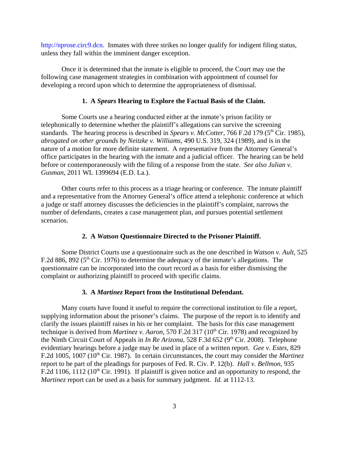http://nprose.circ9.dcn. Inmates with three strikes no longer qualify for indigent filing status, unless they fall within the imminent danger exception.

Once it is determined that the inmate is eligible to proceed, the Court may use the following case management strategies in combination with appointment of counsel for developing a record upon which to determine the appropriateness of dismissal.

#### **1. A** *Spears* **Hearing to Explore the Factual Basis of the Claim.**

Some Courts use a hearing conducted either at the inmate's prison facility or telephonically to determine whether the plaintiff's allegations can survive the screening standards. The hearing process is described in *Spears v. McCotter*, 766 F.2d 179 (5<sup>th</sup> Cir. 1985), *abrogated on other grounds by Neitzke v. Williams*, 490 U.S. 319, 324 (1989), and is in the nature of a motion for more definite statement. A representative from the Attorney General's office participates in the hearing with the inmate and a judicial officer. The hearing can be held before or contemporaneously with the filing of a response from the state. *See also Julian v. Gusman*, 2011 WL 1399694 (E.D. La.).

Other courts refer to this process as a triage hearing or conference. The inmate plaintiff and a representative from the Attorney General's office attend a telephonic conference at which a judge or staff attorney discusses the deficiencies in the plaintiff's complaint, narrows the number of defendants, creates a case management plan, and pursues potential settlement scenarios.

#### **2. A** *Watson* **Questionnaire Directed to the Prisoner Plaintiff.**

Some District Courts use a questionnaire such as the one described in *Watson v. Ault*, 525 F.2d 886, 892 ( $5<sup>th</sup>$  Cir. 1976) to determine the adequacy of the inmate's allegations. The questionnaire can be incorporated into the court record as a basis for either dismissing the complaint or authorizing plaintiff to proceed with specific claims.

#### **3. A** *Martinez* **Report from the Institutional Defendant.**

Many courts have found it useful to require the correctional institution to file a report, supplying information about the prisoner's claims. The purpose of the report is to identify and clarify the issues plaintiff raises in his or her complaint. The basis for this case management technique is derived from *Martinez v. Aaron*, 570 F.2d 317 (10<sup>th</sup> Cir. 1978) and recognized by the Ninth Circuit Court of Appeals in *In Re Arizona*, 528 F.3d 652 (9<sup>th</sup> Cir. 2008). Telephone evidentiary hearings before a judge may be used in place of a written report. *Gee v. Estes*, 829 F.2d 1005, 1007 (10<sup>th</sup> Cir. 1987). In certain circumstances, the court may consider the *Martinez* report to be part of the pleadings for purposes of Fed. R. Civ. P. 12(b). *Hall v. Bellmon*, 935 F.2d 1106,  $1112$  (10<sup>th</sup> Cir. 1991). If plaintiff is given notice and an opportunity to respond, the *Martinez* report can be used as a basis for summary judgment. *Id*. at 1112-13.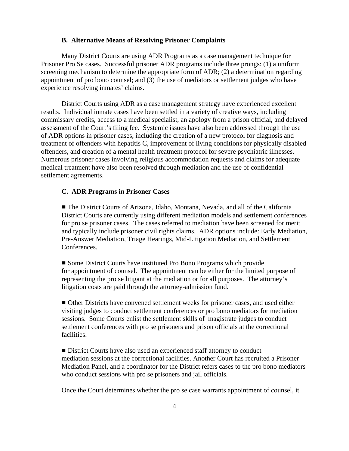#### **B. Alternative Means of Resolving Prisoner Complaints**

Many District Courts are using ADR Programs as a case management technique for Prisoner Pro Se cases. Successful prisoner ADR programs include three prongs: (1) a uniform screening mechanism to determine the appropriate form of ADR; (2) a determination regarding appointment of pro bono counsel; and (3) the use of mediators or settlement judges who have experience resolving inmates' claims.

District Courts using ADR as a case management strategy have experienced excellent results. Individual inmate cases have been settled in a variety of creative ways, including commissary credits, access to a medical specialist, an apology from a prison official, and delayed assessment of the Court's filing fee. Systemic issues have also been addressed through the use of ADR options in prisoner cases, including the creation of a new protocol for diagnosis and treatment of offenders with hepatitis C, improvement of living conditions for physically disabled offenders, and creation of a mental health treatment protocol for severe psychiatric illnesses. Numerous prisoner cases involving religious accommodation requests and claims for adequate medical treatment have also been resolved through mediation and the use of confidential settlement agreements.

#### **C. ADR Programs in Prisoner Cases**

# The District Courts of Arizona, Idaho, Montana, Nevada, and all of the California District Courts are currently using different mediation models and settlement conferences for pro se prisoner cases. The cases referred to mediation have been screened for merit and typically include prisoner civil rights claims. ADR options include: Early Mediation, Pre-Answer Mediation, Triage Hearings, Mid-Litigation Mediation, and Settlement Conferences.

■ Some District Courts have instituted Pro Bono Programs which provide for appointment of counsel. The appointment can be either for the limited purpose of representing the pro se litigant at the mediation or for all purposes. The attorney's litigation costs are paid through the attorney-admission fund.

 $\blacksquare$  Other Districts have convened settlement weeks for prisoner cases, and used either visiting judges to conduct settlement conferences or pro bono mediators for mediation sessions. Some Courts enlist the settlement skills of magistrate judges to conduct settlement conferences with pro se prisoners and prison officials at the correctional facilities.

■ District Courts have also used an experienced staff attorney to conduct mediation sessions at the correctional facilities. Another Court has recruited a Prisoner Mediation Panel, and a coordinator for the District refers cases to the pro bono mediators who conduct sessions with pro se prisoners and jail officials.

Once the Court determines whether the pro se case warrants appointment of counsel, it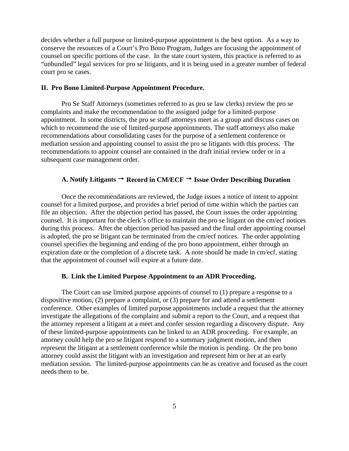decides whether a full purpose or limited-purpose appointment is the best option. As a way to conserve the resources of a Court's Pro Bono Program, Judges are focusing the appointment of counsel on specific portions of the case. In the state court system, this practice is referred to as "unbundled" legal services for pro se litigants, and it is being used in a greater number of federal court pro se cases.

# **II. Pro Bono Limited-Purpose Appointment Procedure.**

Pro Se Staff Attorneys (sometimes referred to as pro se law clerks) review the pro se complaints and make the recommendation to the assigned judge for a limited-purpose appointment. In some districts, the pro se staff attorneys meet as a group and discuss cases on which to recommend the use of limited-purpose appointments. The staff attorneys also make recommendations about consolidating cases for the purpose of a settlement conference or mediation session and appointing counsel to assist the pro se litigants with this process. The recommendations to appoint counsel are contained in the draft initial review order or in a subsequent case management order.

# A. Notify Litigants  $\rightarrow$  Record in CM/ECF  $\rightarrow$  Issue Order Describing Duration

Once the recommendations are reviewed, the Judge issues a notice of intent to appoint counsel for a limited purpose, and provides a brief period of time within which the parties can file an objection. After the objection period has passed, the Court issues the order appointing counsel. It is important for the clerk's office to maintain the pro se litigant on the cm/ecf notices during this process. After the objection period has passed and the final order appointing counsel is adopted, the pro se litigant can be terminated from the cm/ecf notices. The order appointing counsel specifies the beginning and ending of the pro bono appointment, either through an expiration date or the completion of a discrete task. A note should be made in cm/ecf, stating that the appointment of counsel will expire at a future date.

#### **B. Link the Limited Purpose Appointment to an ADR Proceeding.**

The Court can use limited purpose appoints of counsel to (1) prepare a response to a dispositive motion, (2) prepare a complaint, or (3) prepare for and attend a settlement conference. Other examples of limited purpose appointments include a request that the attorney investigate the allegations of the complaint and submit a report to the Court, and a request that the attorney represent a litigant at a meet and confer session regarding a discovery dispute. Any of these limited-purpose appointments can be linked to an ADR proceeding. For example, an attorney could help the pro se litigant respond to a summary judgment motion, and then represent the litigant at a settlement conference while the motion is pending. Or the pro bono attorney could assist the litigant with an investigation and represent him or her at an early mediation session. The limited-purpose appointments can be as creative and focused as the court needs them to be.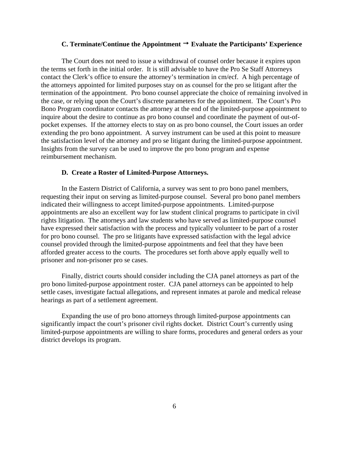# **C. Terminate/Continue the Appointment**  $\rightarrow$  **Evaluate the Participants' Experience**

The Court does not need to issue a withdrawal of counsel order because it expires upon the terms set forth in the initial order. It is still advisable to have the Pro Se Staff Attorneys contact the Clerk's office to ensure the attorney's termination in cm/ecf. A high percentage of the attorneys appointed for limited purposes stay on as counsel for the pro se litigant after the termination of the appointment. Pro bono counsel appreciate the choice of remaining involved in the case, or relying upon the Court's discrete parameters for the appointment. The Court's Pro Bono Program coordinator contacts the attorney at the end of the limited-purpose appointment to inquire about the desire to continue as pro bono counsel and coordinate the payment of out-ofpocket expenses. If the attorney elects to stay on as pro bono counsel, the Court issues an order extending the pro bono appointment. A survey instrument can be used at this point to measure the satisfaction level of the attorney and pro se litigant during the limited-purpose appointment. Insights from the survey can be used to improve the pro bono program and expense reimbursement mechanism.

#### **D. Create a Roster of Limited-Purpose Attorneys.**

In the Eastern District of California, a survey was sent to pro bono panel members, requesting their input on serving as limited-purpose counsel. Several pro bono panel members indicated their willingness to accept limited-purpose appointments. Limited-purpose appointments are also an excellent way for law student clinical programs to participate in civil rights litigation. The attorneys and law students who have served as limited-purpose counsel have expressed their satisfaction with the process and typically volunteer to be part of a roster for pro bono counsel. The pro se litigants have expressed satisfaction with the legal advice counsel provided through the limited-purpose appointments and feel that they have been afforded greater access to the courts. The procedures set forth above apply equally well to prisoner and non-prisoner pro se cases.

Finally, district courts should consider including the CJA panel attorneys as part of the pro bono limited-purpose appointment roster. CJA panel attorneys can be appointed to help settle cases, investigate factual allegations, and represent inmates at parole and medical release hearings as part of a settlement agreement.

Expanding the use of pro bono attorneys through limited-purpose appointments can significantly impact the court's prisoner civil rights docket. District Court's currently using limited-purpose appointments are willing to share forms, procedures and general orders as your district develops its program.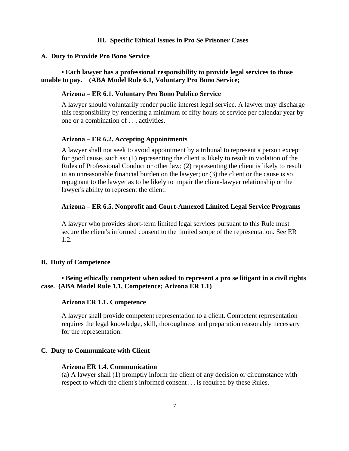#### **III. Specific Ethical Issues in Pro Se Prisoner Cases**

#### **A. Duty to Provide Pro Bono Service**

**• Each lawyer has a professional responsibility to provide legal services to those unable to pay. (ABA Model Rule 6.1, Voluntary Pro Bono Service;**

# **Arizona – ER 6.1. Voluntary Pro Bono Publico Service**

A lawyer should voluntarily render public interest legal service. A lawyer may discharge this responsibility by rendering a minimum of fifty hours of service per calendar year by one or a combination of . . . activities.

#### **Arizona – ER 6.2. Accepting Appointments**

A lawyer shall not seek to avoid appointment by a tribunal to represent a person except for good cause, such as: (1) representing the client is likely to result in violation of the Rules of Professional Conduct or other law; (2) representing the client is likely to result in an unreasonable financial burden on the lawyer; or (3) the client or the cause is so repugnant to the lawyer as to be likely to impair the client-lawyer relationship or the lawyer's ability to represent the client.

#### **Arizona – ER 6.5. Nonprofit and Court-Annexed Limited Legal Service Programs**

A lawyer who provides short-term limited legal services pursuant to this Rule must secure the client's informed consent to the limited scope of the representation. See ER 1.2.

# **B. Duty of Competence**

# **• Being ethically competent when asked to represent a pro se litigant in a civil rights case. (ABA Model Rule 1.1, Competence; Arizona ER 1.1)**

#### **Arizona ER 1.1. Competence**

A lawyer shall provide competent representation to a client. Competent representation requires the legal knowledge, skill, thoroughness and preparation reasonably necessary for the representation.

#### **C. Duty to Communicate with Client**

#### **Arizona ER 1.4. Communication**

(a) A lawyer shall (1) promptly inform the client of any decision or circumstance with respect to which the client's informed consent . . . is required by these Rules.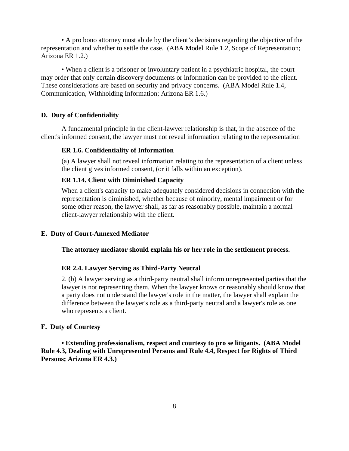• A pro bono attorney must abide by the client's decisions regarding the objective of the representation and whether to settle the case. (ABA Model Rule 1.2, Scope of Representation; Arizona ER 1.2.)

• When a client is a prisoner or involuntary patient in a psychiatric hospital, the court may order that only certain discovery documents or information can be provided to the client. These considerations are based on security and privacy concerns. (ABA Model Rule 1.4, Communication, Withholding Information; Arizona ER 1.6.)

# **D. Duty of Confidentiality**

A fundamental principle in the client-lawyer relationship is that, in the absence of the client's informed consent, the lawyer must not reveal information relating to the representation

#### **ER 1.6. Confidentiality of Information**

(a) A lawyer shall not reveal information relating to the representation of a client unless the client gives informed consent, (or it falls within an exception).

# **ER 1.14. Client with Diminished Capacity**

When a client's capacity to make adequately considered decisions in connection with the representation is diminished, whether because of minority, mental impairment or for some other reason, the lawyer shall, as far as reasonably possible, maintain a normal client-lawyer relationship with the client.

#### **E. Duty of Court-Annexed Mediator**

**The attorney mediator should explain his or her role in the settlement process.** 

#### **ER 2.4. Lawyer Serving as Third-Party Neutral**

2. (b) A lawyer serving as a third-party neutral shall inform unrepresented parties that the lawyer is not representing them. When the lawyer knows or reasonably should know that a party does not understand the lawyer's role in the matter, the lawyer shall explain the difference between the lawyer's role as a third-party neutral and a lawyer's role as one who represents a client.

# **F. Duty of Courtesy**

**• Extending professionalism, respect and courtesy to pro se litigants. (ABA Model Rule 4.3, Dealing with Unrepresented Persons and Rule 4.4, Respect for Rights of Third Persons; Arizona ER 4.3.)**